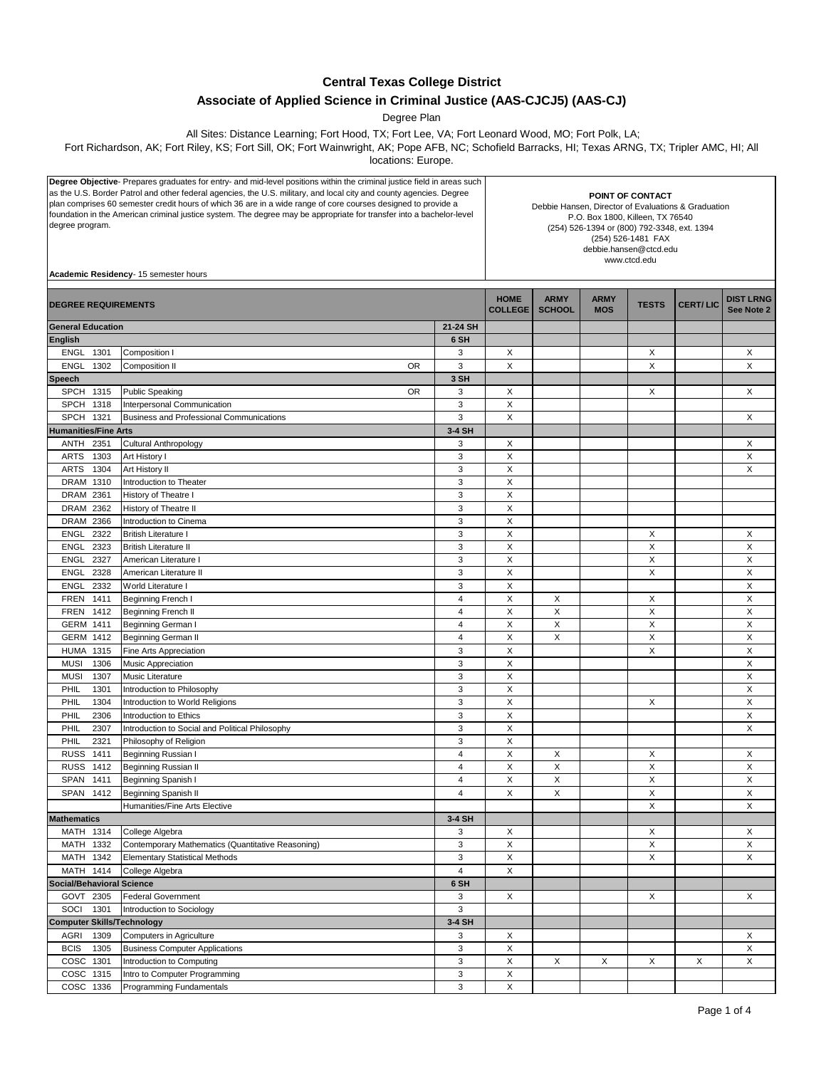## **Central Texas College District**

## **Associate of Applied Science in Criminal Justice (AAS-CJCJ5) (AAS-CJ)**

Degree Plan

All Sites: Distance Learning; Fort Hood, TX; Fort Lee, VA; Fort Leonard Wood, MO; Fort Polk, LA;

Fort Richardson, AK; Fort Riley, KS; Fort Sill, OK; Fort Wainwright, AK; Pope AFB, NC; Schofield Barracks, HI; Texas ARNG, TX; Tripler AMC, HI; All

locations: Europe.

| Degree Objective- Prepares graduates for entry- and mid-level positions within the criminal justice field in areas such                                                                                                               |                                                   |                           |                                                                         |               |             |              |                 |                  |
|---------------------------------------------------------------------------------------------------------------------------------------------------------------------------------------------------------------------------------------|---------------------------------------------------|---------------------------|-------------------------------------------------------------------------|---------------|-------------|--------------|-----------------|------------------|
| as the U.S. Border Patrol and other federal agencies, the U.S. military, and local city and county agencies. Degree                                                                                                                   |                                                   |                           |                                                                         |               |             |              |                 |                  |
| plan comprises 60 semester credit hours of which 36 are in a wide range of core courses designed to provide a<br>foundation in the American criminal justice system. The degree may be appropriate for transfer into a bachelor-level |                                                   |                           | POINT OF CONTACT<br>Debbie Hansen, Director of Evaluations & Graduation |               |             |              |                 |                  |
|                                                                                                                                                                                                                                       |                                                   |                           |                                                                         |               |             |              |                 |                  |
|                                                                                                                                                                                                                                       |                                                   |                           |                                                                         |               |             |              |                 |                  |
|                                                                                                                                                                                                                                       |                                                   |                           |                                                                         |               |             |              |                 |                  |
|                                                                                                                                                                                                                                       |                                                   |                           | www.ctcd.edu                                                            |               |             |              |                 |                  |
|                                                                                                                                                                                                                                       |                                                   |                           |                                                                         |               |             |              |                 |                  |
|                                                                                                                                                                                                                                       | Academic Residency- 15 semester hours             |                           |                                                                         |               |             |              |                 |                  |
|                                                                                                                                                                                                                                       |                                                   |                           |                                                                         |               |             |              |                 |                  |
|                                                                                                                                                                                                                                       |                                                   |                           | <b>HOME</b>                                                             | <b>ARMY</b>   | <b>ARMY</b> |              |                 | <b>DIST LRNG</b> |
| <b>DEGREE REQUIREMENTS</b>                                                                                                                                                                                                            |                                                   |                           | <b>COLLEGE</b>                                                          | <b>SCHOOL</b> | <b>MOS</b>  | <b>TESTS</b> | <b>CERT/LIC</b> | See Note 2       |
|                                                                                                                                                                                                                                       |                                                   |                           |                                                                         |               |             |              |                 |                  |
| <b>General Education</b>                                                                                                                                                                                                              |                                                   | 21-24 SH                  |                                                                         |               |             |              |                 |                  |
| <b>English</b>                                                                                                                                                                                                                        |                                                   | 6 SH                      |                                                                         |               |             |              |                 |                  |
| <b>ENGL</b><br>1301                                                                                                                                                                                                                   | Composition I                                     | 3                         | X                                                                       |               |             | Χ            |                 | X                |
| 1302<br><b>ENGL</b>                                                                                                                                                                                                                   | Composition II<br>OR                              | 3                         | X                                                                       |               |             | X            |                 | X                |
|                                                                                                                                                                                                                                       |                                                   |                           |                                                                         |               |             |              |                 |                  |
| <b>Speech</b>                                                                                                                                                                                                                         |                                                   | 3 SH                      |                                                                         |               |             |              |                 |                  |
| <b>SPCH</b><br>1315                                                                                                                                                                                                                   | <b>Public Speaking</b><br><b>OR</b>               | 3                         | X                                                                       |               |             | X            |                 | X                |
| 1318<br><b>SPCH</b>                                                                                                                                                                                                                   | Interpersonal Communication                       | 3                         | X                                                                       |               |             |              |                 |                  |
| <b>SPCH</b><br>1321                                                                                                                                                                                                                   | <b>Business and Professional Communications</b>   | 3                         | X                                                                       |               |             |              |                 | Х                |
| <b>Humanities/Fine Arts</b>                                                                                                                                                                                                           |                                                   | 3-4 SH                    |                                                                         |               |             |              |                 |                  |
|                                                                                                                                                                                                                                       |                                                   |                           |                                                                         |               |             |              |                 |                  |
| 2351<br>ANTH                                                                                                                                                                                                                          | <b>Cultural Anthropology</b>                      | 3                         | X                                                                       |               |             |              |                 | Х                |
| ARTS<br>1303                                                                                                                                                                                                                          | Art History I                                     | 3                         | X                                                                       |               |             |              |                 | X                |
| 1304<br><b>ARTS</b>                                                                                                                                                                                                                   | Art History II                                    | 3                         | $\mathsf X$                                                             |               |             |              |                 | X                |
| 1310<br><b>DRAM</b>                                                                                                                                                                                                                   | Introduction to Theater                           | 3                         | X                                                                       |               |             |              |                 |                  |
| 2361<br>DRAM                                                                                                                                                                                                                          | History of Theatre I                              | 3                         | X                                                                       |               |             |              |                 |                  |
|                                                                                                                                                                                                                                       |                                                   |                           |                                                                         |               |             |              |                 |                  |
| DRAM 2362                                                                                                                                                                                                                             | History of Theatre II                             | 3                         | X                                                                       |               |             |              |                 |                  |
| DRAM 2366                                                                                                                                                                                                                             | Introduction to Cinema                            | 3                         | X                                                                       |               |             |              |                 |                  |
| 2322<br><b>ENGL</b>                                                                                                                                                                                                                   | <b>British Literature I</b>                       | 3                         | X                                                                       |               |             | Х            |                 | X                |
| <b>ENGL</b><br>2323                                                                                                                                                                                                                   | <b>British Literature II</b>                      | 3                         | X                                                                       |               |             | X            |                 | X                |
|                                                                                                                                                                                                                                       | American Literature I                             | 3                         | X                                                                       |               |             | X            |                 | X                |
| ENGL<br>2327                                                                                                                                                                                                                          |                                                   |                           |                                                                         |               |             |              |                 |                  |
| 2328<br><b>ENGL</b>                                                                                                                                                                                                                   | American Literature II                            | 3                         | X                                                                       |               |             | X            |                 | X                |
| 2332<br>ENGL                                                                                                                                                                                                                          | World Literature I                                | 3                         | X                                                                       |               |             |              |                 | X                |
| 1411<br><b>FREN</b>                                                                                                                                                                                                                   | Beginning French I                                | $\overline{4}$            | $\mathsf X$                                                             | X             |             | X            |                 | X                |
| 1412<br><b>FREN</b>                                                                                                                                                                                                                   | Beginning French II                               | 4                         | X                                                                       | X             |             | X            |                 | Χ                |
|                                                                                                                                                                                                                                       |                                                   |                           |                                                                         |               |             |              |                 |                  |
| 1411<br>GERM                                                                                                                                                                                                                          | Beginning German I                                | 4                         | X                                                                       | X             |             | X            |                 | X                |
| 1412<br>GERM                                                                                                                                                                                                                          | Beginning German II                               | $\overline{4}$            | X                                                                       | X             |             | X            |                 | X                |
| 1315<br>HUMA                                                                                                                                                                                                                          | Fine Arts Appreciation                            | 3                         | X                                                                       |               |             | X            |                 | X                |
| <b>MUSI</b><br>1306                                                                                                                                                                                                                   | Music Appreciation                                | 3                         | X                                                                       |               |             |              |                 | X                |
| 1307<br><b>MUSI</b>                                                                                                                                                                                                                   | Music Literature                                  | 3                         | X                                                                       |               |             |              |                 | X                |
| PHIL<br>1301                                                                                                                                                                                                                          |                                                   | 3                         | X                                                                       |               |             |              |                 | X                |
|                                                                                                                                                                                                                                       | Introduction to Philosophy                        |                           |                                                                         |               |             |              |                 |                  |
| 1304<br>PHIL                                                                                                                                                                                                                          | Introduction to World Religions                   | 3                         | X                                                                       |               |             | X            |                 | X                |
| PHIL<br>2306                                                                                                                                                                                                                          | Introduction to Ethics                            | 3                         | X                                                                       |               |             |              |                 | Х                |
| 2307<br>PHIL                                                                                                                                                                                                                          | Introduction to Social and Political Philosophy   | 3                         | X                                                                       |               |             |              |                 | X                |
| PHIL<br>2321                                                                                                                                                                                                                          | Philosophy of Religion                            | 3                         | X                                                                       |               |             |              |                 |                  |
|                                                                                                                                                                                                                                       |                                                   | 4                         | X                                                                       |               |             |              |                 |                  |
| RUSS 1411                                                                                                                                                                                                                             | Beginning Russian I                               |                           |                                                                         | х             |             | Х            |                 | Х                |
| <b>RUSS</b><br>1412                                                                                                                                                                                                                   | Beginning Russian II                              | 4                         | X                                                                       | X             |             | X            |                 | X                |
| SPAN 1411                                                                                                                                                                                                                             | Beginning Spanish I                               | 4                         | X                                                                       | X             |             | X            |                 | X                |
| SPAN 1412                                                                                                                                                                                                                             | Beginning Spanish II                              | $\overline{4}$            | X                                                                       | X             |             | $\mathsf X$  |                 | X                |
|                                                                                                                                                                                                                                       | Humanities/Fine Arts Elective                     |                           |                                                                         |               |             | X            |                 | X                |
| <b>Mathematics</b>                                                                                                                                                                                                                    |                                                   | 3-4 SH                    |                                                                         |               |             |              |                 |                  |
|                                                                                                                                                                                                                                       |                                                   |                           |                                                                         |               |             |              |                 |                  |
| MATH 1314                                                                                                                                                                                                                             | College Algebra                                   | 3                         | X                                                                       |               |             | X            |                 | X                |
| MATH 1332                                                                                                                                                                                                                             | Contemporary Mathematics (Quantitative Reasoning) | 3                         | X                                                                       |               |             | X            |                 | X                |
| MATH 1342                                                                                                                                                                                                                             | <b>Elementary Statistical Methods</b>             | 3                         | $\mathsf X$                                                             |               |             | $\mathsf X$  |                 | X                |
| MATH 1414                                                                                                                                                                                                                             | College Algebra                                   | $\sqrt{4}$                | X                                                                       |               |             |              |                 |                  |
| <b>Social/Behavioral Science</b>                                                                                                                                                                                                      |                                                   | 6 SH                      |                                                                         |               |             |              |                 |                  |
|                                                                                                                                                                                                                                       |                                                   |                           |                                                                         |               |             |              |                 |                  |
| GOVT 2305                                                                                                                                                                                                                             | <b>Federal Government</b>                         | 3                         | X                                                                       |               |             | X            |                 | X                |
| SOCI<br>1301                                                                                                                                                                                                                          | Introduction to Sociology                         | 3                         |                                                                         |               |             |              |                 |                  |
| <b>Computer Skills/Technology</b>                                                                                                                                                                                                     |                                                   | 3-4 SH                    |                                                                         |               |             |              |                 |                  |
| AGRI<br>1309                                                                                                                                                                                                                          | Computers in Agriculture                          | 3                         | X                                                                       |               |             |              |                 | Х                |
| <b>BCIS</b><br>1305                                                                                                                                                                                                                   | <b>Business Computer Applications</b>             | 3                         | X                                                                       |               |             |              |                 | X                |
|                                                                                                                                                                                                                                       |                                                   |                           |                                                                         |               |             |              |                 |                  |
| COSC 1301                                                                                                                                                                                                                             | Introduction to Computing                         | $\ensuremath{\mathsf{3}}$ | X                                                                       | X             | X           | X            | X               | X                |
| COSC 1315                                                                                                                                                                                                                             | Intro to Computer Programming                     | 3                         | X                                                                       |               |             |              |                 |                  |
| COSC 1336                                                                                                                                                                                                                             | Programming Fundamentals                          | 3                         | $\mathsf X$                                                             |               |             |              |                 |                  |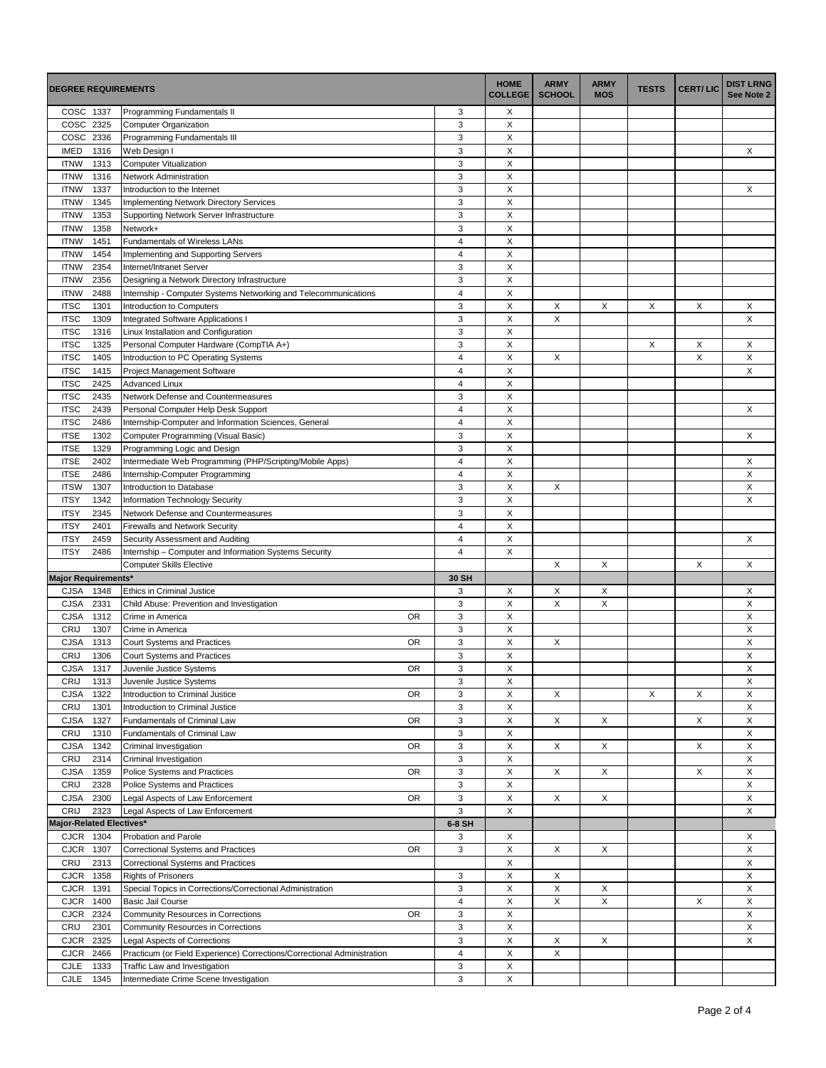| <b>DEGREE REQUIREMENTS</b>                                                                                                   |                                                        | <b>HOME</b><br><b>COLLEGE</b> | <b>ARMY</b><br><b>SCHOOL</b> | <b>ARMY</b><br><b>MOS</b> | <b>TESTS</b> | <b>CERT/LIC</b> | <b>DIST LRNG</b><br>See Note 2 |
|------------------------------------------------------------------------------------------------------------------------------|--------------------------------------------------------|-------------------------------|------------------------------|---------------------------|--------------|-----------------|--------------------------------|
| COSC 1337<br>Programming Fundamentals II                                                                                     | 3                                                      | X                             |                              |                           |              |                 |                                |
| COSC 2325<br><b>Computer Organization</b>                                                                                    | $\ensuremath{\mathsf{3}}$                              | X                             |                              |                           |              |                 |                                |
| COSC 2336<br>Programming Fundamentals III                                                                                    | 3                                                      | X                             |                              |                           |              |                 |                                |
| <b>IMED</b><br>1316<br>Web Design I                                                                                          | $\ensuremath{\mathsf{3}}$                              | X                             |                              |                           |              |                 | X                              |
| <b>ITNW</b><br>1313<br><b>Computer Vitualization</b>                                                                         | 3                                                      | X                             |                              |                           |              |                 |                                |
| 1316<br><b>ITNW</b><br>Network Administration                                                                                | $\ensuremath{\mathsf{3}}$<br>$\ensuremath{\mathsf{3}}$ | X<br>X                        |                              |                           |              |                 |                                |
| <b>ITNW</b><br>1337<br>Introduction to the Internet<br><b>ITNW</b><br>1345<br><b>Implementing Network Directory Services</b> | 3                                                      | X                             |                              |                           |              |                 | X                              |
| <b>ITNW</b><br>1353<br>Supporting Network Server Infrastructure                                                              | $\ensuremath{\mathsf{3}}$                              | $\mathsf X$                   |                              |                           |              |                 |                                |
| <b>ITNW</b><br>1358<br>Network+                                                                                              | 3                                                      | X                             |                              |                           |              |                 |                                |
| 1451<br>Fundamentals of Wireless LANs<br><b>ITNW</b>                                                                         | $\overline{4}$                                         | X                             |                              |                           |              |                 |                                |
| <b>ITNW</b><br>1454<br>Implementing and Supporting Servers                                                                   | $\overline{\mathbf{4}}$                                | $\mathsf X$                   |                              |                           |              |                 |                                |
| <b>ITNW</b><br>2354<br>Internet/Intranet Server                                                                              | 3                                                      | X                             |                              |                           |              |                 |                                |
| <b>ITNW</b><br>2356<br>Designing a Network Directory Infrastructure                                                          | $\ensuremath{\mathsf{3}}$                              | $\mathsf X$                   |                              |                           |              |                 |                                |
| <b>ITNW</b><br>Internship - Computer Systems Networking and Telecommunications<br>2488                                       | 4                                                      | X                             |                              |                           |              |                 |                                |
| <b>ITSC</b><br>1301<br>Introduction to Computers                                                                             | 3                                                      | X                             | X                            | X                         | X            | X               | X                              |
| <b>ITSC</b><br>1309<br>Integrated Software Applications I                                                                    | 3                                                      | X                             | X                            |                           |              |                 | X                              |
| <b>ITSC</b><br>1316<br>Linux Installation and Configuration                                                                  | 3                                                      | X                             |                              |                           |              |                 |                                |
| <b>ITSC</b><br>1325<br>Personal Computer Hardware (CompTIA A+)                                                               | 3                                                      | $\boldsymbol{\mathsf{X}}$     |                              |                           | X            | X               | X                              |
| <b>ITSC</b><br>1405<br>Introduction to PC Operating Systems                                                                  | 4                                                      | X                             | X                            |                           |              | X               | X                              |
| <b>ITSC</b><br>1415<br>Project Management Software                                                                           | $\overline{4}$                                         | X                             |                              |                           |              |                 | X                              |
| <b>ITSC</b><br>2425<br><b>Advanced Linux</b>                                                                                 | $\overline{4}$                                         | X<br>X                        |                              |                           |              |                 |                                |
| <b>ITSC</b><br>2435<br>Network Defense and Countermeasures<br><b>ITSC</b><br>2439                                            | 3<br>$\overline{\mathbf{4}}$                           | $\mathsf X$                   |                              |                           |              |                 | X                              |
| Personal Computer Help Desk Support<br><b>ITSC</b><br>Internship-Computer and Information Sciences, General<br>2486          | 4                                                      | X                             |                              |                           |              |                 |                                |
| 1302<br><b>ITSE</b><br>Computer Programming (Visual Basic)                                                                   | 3                                                      | X                             |                              |                           |              |                 | X                              |
| <b>ITSE</b><br>1329<br>Programming Logic and Design                                                                          | 3                                                      | X                             |                              |                           |              |                 |                                |
| <b>ITSE</b><br>2402<br>Intermediate Web Programming (PHP/Scripting/Mobile Apps)                                              | $\overline{4}$                                         | X                             |                              |                           |              |                 | X                              |
| <b>ITSE</b><br>2486<br>Internship-Computer Programming                                                                       | $\overline{\mathbf{4}}$                                | $\mathsf X$                   |                              |                           |              |                 | X                              |
| <b>ITSW</b><br>1307<br>Introduction to Database                                                                              | 3                                                      | X                             | X                            |                           |              |                 | X                              |
| <b>ITSY</b><br>1342<br>Information Technology Security                                                                       | 3                                                      | X                             |                              |                           |              |                 | X                              |
| <b>ITSY</b><br>2345<br>Network Defense and Countermeasures                                                                   | 3                                                      | X                             |                              |                           |              |                 |                                |
| <b>ITSY</b><br>2401<br><b>Firewalls and Network Security</b>                                                                 | $\overline{4}$                                         | X                             |                              |                           |              |                 |                                |
| <b>ITSY</b><br>2459<br>Security Assessment and Auditing                                                                      | $\overline{4}$                                         | $\mathsf X$                   |                              |                           |              |                 | X                              |
| <b>ITSY</b><br>2486<br>Internship - Computer and Information Systems Security                                                | $\overline{4}$                                         | X                             |                              |                           |              |                 |                                |
| <b>Computer Skills Elective</b>                                                                                              |                                                        |                               | X                            | X                         |              | X               | X                              |
| <b>Major Requirements*</b><br>CJSA<br>1348<br><b>Ethics in Criminal Justice</b>                                              | 30 SH<br>3                                             | X                             | X                            |                           |              |                 |                                |
| 2331<br><b>CJSA</b><br>Child Abuse: Prevention and Investigation                                                             | 3                                                      | $\boldsymbol{\mathsf{X}}$     | X                            | Х<br>X                    |              |                 | Х<br>X                         |
| <b>CJSA</b><br>1312<br><b>OR</b><br>Crime in America                                                                         | 3                                                      | X                             |                              |                           |              |                 | X                              |
| CRIJ<br>1307<br>Crime in America                                                                                             | 3                                                      | X                             |                              |                           |              |                 | X                              |
| <b>CJSA</b><br>1313<br>Court Systems and Practices<br>0R                                                                     | 3                                                      | X                             | X                            |                           |              |                 | X                              |
| CRIJ<br>1306<br>Court Systems and Practices                                                                                  | 3                                                      | X                             |                              |                           |              |                 | Χ                              |
| 1317<br><b>CJSA</b><br><b>OR</b><br>Juvenile Justice Systems                                                                 | 3                                                      | $\boldsymbol{\mathsf{X}}$     |                              |                           |              |                 | X                              |
| CRIJ<br>Juvenile Justice Systems<br>1313                                                                                     | 3                                                      | X                             |                              |                           |              |                 | X                              |
| <b>CJSA</b><br>1322<br>Introduction to Criminal Justice<br>OR                                                                | 3                                                      | X                             | X                            |                           | X            | X               | X                              |
| CRIJ<br>1301<br>Introduction to Criminal Justice                                                                             | 3                                                      | X                             |                              |                           |              |                 | X                              |
| CJSA<br>1327<br><b>OR</b><br>Fundamentals of Criminal Law                                                                    | 3                                                      | X                             | X                            | X                         |              | X               | X                              |
| CRIJ<br>1310<br>Fundamentals of Criminal Law                                                                                 | 3                                                      | $\mathsf X$                   |                              |                           |              |                 | X                              |
| <b>CJSA</b><br>1342<br><b>OR</b><br>Criminal Investigation                                                                   | 3                                                      | X                             | X                            | X                         |              | X               | Χ                              |
| 2314<br>CRIJ<br>Criminal Investigation                                                                                       | 3                                                      | X                             |                              |                           |              |                 | X                              |
| <b>CJSA</b><br>1359<br>Police Systems and Practices<br><b>OR</b><br>2328<br><b>CRIJ</b><br>Police Systems and Practices      | 3<br>3                                                 | X<br>X                        | X                            | X                         |              | X               | X<br>X                         |
| <b>CJSA</b><br>2300<br>OR<br>Legal Aspects of Law Enforcement                                                                | 3                                                      | $\mathsf X$                   | X                            | X                         |              |                 | Χ                              |
| <b>CRIJ</b><br>2323<br>Legal Aspects of Law Enforcement                                                                      | 3                                                      | X                             |                              |                           |              |                 | X                              |
| Major-Related Electives*                                                                                                     | 6-8 SH                                                 |                               |                              |                           |              |                 |                                |
| CJCR 1304<br>Probation and Parole                                                                                            | 3                                                      | X                             |                              |                           |              |                 | X                              |
| <b>CJCR</b><br>1307<br>Correctional Systems and Practices<br>0R                                                              | 3                                                      | X                             | X                            | Χ                         |              |                 | X                              |
| CRIJ<br>2313<br>Correctional Systems and Practices                                                                           |                                                        | $\mathsf X$                   |                              |                           |              |                 | X                              |
| <b>CJCR</b><br>1358<br><b>Rights of Prisoners</b>                                                                            | 3                                                      | Χ                             | X                            |                           |              |                 | X                              |
| CJCR<br>1391<br>Special Topics in Corrections/Correctional Administration                                                    | 3                                                      | X                             | X                            | X                         |              |                 | X                              |
| <b>CJCR</b><br>1400<br><b>Basic Jail Course</b>                                                                              | $\overline{4}$                                         | X                             | X                            | X                         |              | X               | X                              |
| <b>CJCR</b><br>2324<br>Community Resources in Corrections<br>0R                                                              | 3                                                      | X                             |                              |                           |              |                 | X                              |
| CRIJ<br>2301<br>Community Resources in Corrections                                                                           | 3                                                      | $\mathsf X$                   |                              |                           |              |                 | X                              |
| <b>CJCR</b><br>2325<br><b>Legal Aspects of Corrections</b>                                                                   | 3                                                      | X                             | X                            | X                         |              |                 | X                              |
| <b>CJCR</b><br>2466<br>Practicum (or Field Experience) Corrections/Correctional Administration                               | $\overline{\mathbf{4}}$                                | $\mathsf X$                   | X                            |                           |              |                 |                                |
| CJLE<br>1333<br>Traffic Law and Investigation<br><b>CJLE</b>                                                                 | 3                                                      | X<br>X                        |                              |                           |              |                 |                                |
| 1345<br>Intermediate Crime Scene Investigation                                                                               | 3                                                      |                               |                              |                           |              |                 |                                |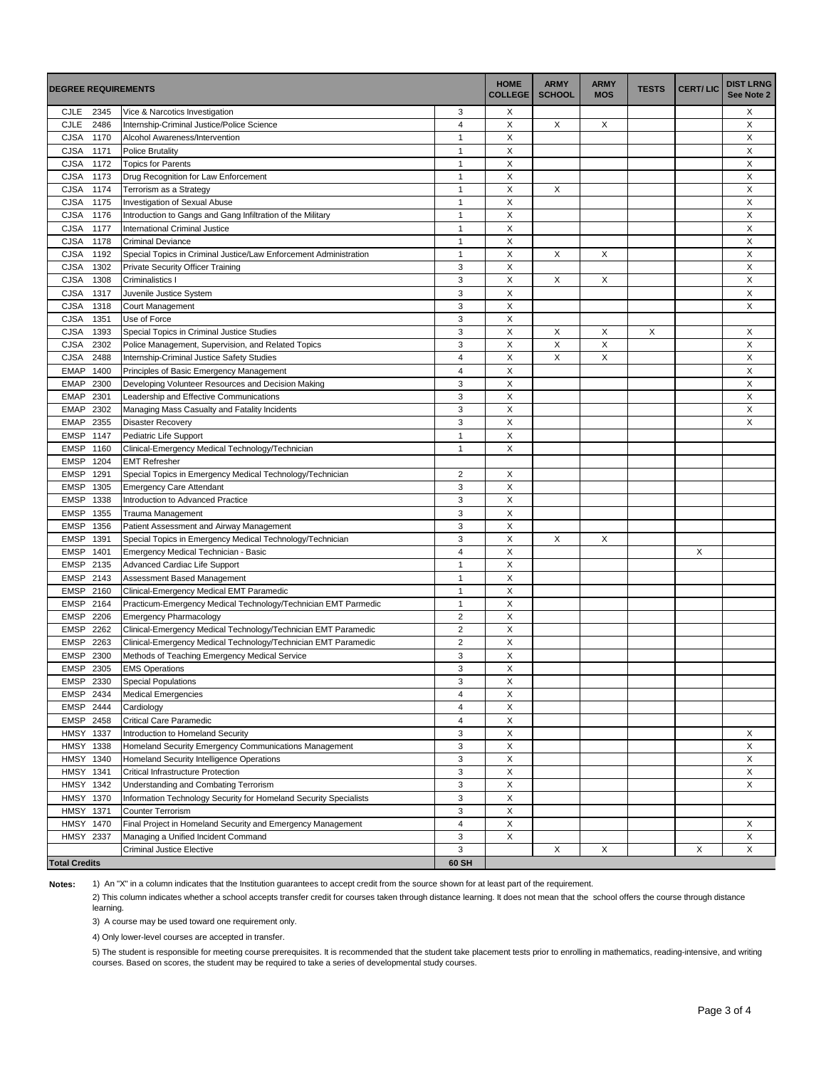| <b>DEGREE REQUIREMENTS</b> |                                                                           | <b>HOME</b><br><b>COLLEGE</b> | <b>ARMY</b><br><b>SCHOOL</b> | <b>ARMY</b><br><b>MOS</b> | <b>TESTS</b> | <b>CERT/LIC</b> | <b>DIST LRNG</b><br>See Note 2 |   |
|----------------------------|---------------------------------------------------------------------------|-------------------------------|------------------------------|---------------------------|--------------|-----------------|--------------------------------|---|
| 2345<br>CJLE               | Vice & Narcotics Investigation                                            | 3                             | Х                            |                           |              |                 |                                | Х |
| <b>CJLE</b><br>2486        | Internship-Criminal Justice/Police Science                                | $\overline{\mathbf{4}}$       | X                            | X                         | X            |                 |                                | X |
| 1170<br><b>CJSA</b>        | Alcohol Awareness/Intervention                                            | $\mathbf{1}$                  | X                            |                           |              |                 |                                | X |
| <b>CJSA</b><br>1171        | <b>Police Brutality</b>                                                   | $\mathbf{1}$                  | X                            |                           |              |                 |                                | X |
| <b>CJSA</b><br>1172        | <b>Topics for Parents</b>                                                 | $\mathbf{1}$                  | X                            |                           |              |                 |                                | X |
| <b>CJSA</b><br>1173        | Drug Recognition for Law Enforcement                                      | $\overline{1}$                | X                            |                           |              |                 |                                | X |
| <b>CJSA</b><br>1174        | Terrorism as a Strategy                                                   | $\overline{1}$                | X                            | X                         |              |                 |                                | X |
| <b>CJSA</b><br>1175        | Investigation of Sexual Abuse                                             | $\mathbf{1}$                  | X                            |                           |              |                 |                                | X |
| <b>CJSA</b><br>1176        | Introduction to Gangs and Gang Infiltration of the Military               | $\mathbf{1}$                  | X                            |                           |              |                 |                                | X |
| <b>CJSA</b><br>1177        | International Criminal Justice                                            | $\mathbf{1}$                  | X                            |                           |              |                 |                                | X |
| <b>CJSA</b><br>1178        | <b>Criminal Deviance</b>                                                  | $\mathbf{1}$                  | X                            |                           |              |                 |                                | X |
| <b>CJSA</b><br>1192        | Special Topics in Criminal Justice/Law Enforcement Administration         | $\mathbf{1}$                  | X                            | X                         | X            |                 |                                | X |
| <b>CJSA</b><br>1302        | Private Security Officer Training                                         | 3                             | X                            |                           |              |                 |                                | X |
| 1308<br><b>CJSA</b>        | Criminalistics I                                                          | 3                             | X                            | X                         | X            |                 |                                | X |
| <b>CJSA</b><br>1317        | Juvenile Justice System                                                   | 3                             | X                            |                           |              |                 |                                | X |
| <b>CJSA</b><br>1318        | Court Management                                                          | 3                             | X                            |                           |              |                 |                                | X |
| <b>CJSA</b><br>1351        | Use of Force                                                              | 3                             | X                            |                           |              |                 |                                |   |
| <b>CJSA</b><br>1393        | Special Topics in Criminal Justice Studies                                | 3                             | X                            | X                         | Х            | X               |                                | Х |
| 2302<br><b>CJSA</b>        | Police Management, Supervision, and Related Topics                        | 3                             | X                            | X                         | X            |                 |                                | X |
| <b>CJSA</b><br>2488        | Internship-Criminal Justice Safety Studies                                | 4                             | X                            | X                         | X            |                 |                                | X |
| <b>EMAP</b><br>1400        | Principles of Basic Emergency Management                                  | $\overline{\mathbf{4}}$       | X                            |                           |              |                 |                                | X |
| <b>EMAP</b><br>2300        | Developing Volunteer Resources and Decision Making                        | 3                             | X                            |                           |              |                 |                                | X |
| <b>EMAP</b><br>2301        | Leadership and Effective Communications                                   | 3                             | X                            |                           |              |                 |                                | X |
| <b>EMAP</b>                |                                                                           | 3                             | X                            |                           |              |                 |                                | X |
| 2302                       | Managing Mass Casualty and Fatality Incidents<br><b>Disaster Recovery</b> |                               |                              |                           |              |                 |                                | X |
| <b>EMAP</b><br>2355        |                                                                           | 3                             | X                            |                           |              |                 |                                |   |
| <b>EMSP</b><br>1147        | Pediatric Life Support                                                    | $\mathbf{1}$<br>$\mathbf{1}$  | X<br>X                       |                           |              |                 |                                |   |
| 1160<br><b>EMSP</b>        | Clinical-Emergency Medical Technology/Technician                          |                               |                              |                           |              |                 |                                |   |
| <b>EMSP</b><br>1204        | <b>EMT Refresher</b>                                                      |                               |                              |                           |              |                 |                                |   |
| <b>EMSP</b><br>1291        | Special Topics in Emergency Medical Technology/Technician                 | $\overline{\mathbf{c}}$       | X                            |                           |              |                 |                                |   |
| <b>EMSP</b><br>1305        | <b>Emergency Care Attendant</b>                                           | 3                             | X                            |                           |              |                 |                                |   |
| <b>EMSP</b><br>1338        | Introduction to Advanced Practice                                         | 3                             | X                            |                           |              |                 |                                |   |
| <b>EMSP</b><br>1355        | Trauma Management                                                         | 3                             | X                            |                           |              |                 |                                |   |
| <b>EMSP</b><br>1356        | Patient Assessment and Airway Management                                  | 3                             | X                            |                           |              |                 |                                |   |
| <b>EMSP</b><br>1391        | Special Topics in Emergency Medical Technology/Technician                 | 3                             | X                            | X                         | X            |                 |                                |   |
| <b>EMSP</b><br>1401        | Emergency Medical Technician - Basic                                      | 4                             | X                            |                           |              |                 | X                              |   |
| <b>EMSP</b><br>2135        | Advanced Cardiac Life Support                                             | $\overline{1}$                | X                            |                           |              |                 |                                |   |
| 2143<br><b>EMSP</b>        | Assessment Based Management                                               | $\overline{1}$                | X                            |                           |              |                 |                                |   |
| <b>EMSP</b><br>2160        | Clinical-Emergency Medical EMT Paramedic                                  | $\mathbf{1}$                  | X                            |                           |              |                 |                                |   |
| <b>EMSP</b><br>2164        | Practicum-Emergency Medical Technology/Technician EMT Parmedic            | $\overline{1}$                | X                            |                           |              |                 |                                |   |
| <b>EMSP</b><br>2206        | <b>Emergency Pharmacology</b>                                             | $\mathbf 2$                   | $\mathsf X$                  |                           |              |                 |                                |   |
| <b>EMSP</b><br>2262        | Clinical-Emergency Medical Technology/Technician EMT Paramedic            | $\overline{2}$                | X                            |                           |              |                 |                                |   |
| 2263<br><b>EMSP</b>        | Clinical-Emergency Medical Technology/Technician EMT Paramedic            | $\overline{\mathbf{c}}$       | X                            |                           |              |                 |                                |   |
| <b>EMSP</b><br>2300        | Methods of Teaching Emergency Medical Service                             | 3                             | X                            |                           |              |                 |                                |   |
| EMSP<br>2305               | <b>EMS Operations</b>                                                     | 3                             | X                            |                           |              |                 |                                |   |
| EMSP 2330                  | <b>Special Populations</b>                                                | 3                             | X                            |                           |              |                 |                                |   |
| EMSP 2434                  | <b>Medical Emergencies</b>                                                | $\overline{4}$                | X                            |                           |              |                 |                                |   |
| EMSP 2444                  | Cardiology                                                                | 4                             | X                            |                           |              |                 |                                |   |
| EMSP 2458                  | Critical Care Paramedic                                                   | $\overline{\mathbf{4}}$       | X                            |                           |              |                 |                                |   |
| <b>HMSY</b><br>1337        | Introduction to Homeland Security                                         | 3                             | X                            |                           |              |                 |                                | X |
| <b>HMSY</b><br>1338        | Homeland Security Emergency Communications Management                     | 3                             | X                            |                           |              |                 |                                | X |
| 1340<br><b>HMSY</b>        | Homeland Security Intelligence Operations                                 | 3                             | X                            |                           |              |                 |                                | X |
| HMSY 1341                  | Critical Infrastructure Protection                                        | 3                             | X                            |                           |              |                 |                                | X |
| HMSY<br>1342               | Understanding and Combating Terrorism                                     | 3                             | X                            |                           |              |                 |                                | X |
| 1370<br>HMSY               | Information Technology Security for Homeland Security Specialists         | 3                             | X                            |                           |              |                 |                                |   |
| <b>HMSY</b><br>1371        | Counter Terrorism                                                         | 3                             | X                            |                           |              |                 |                                |   |
| <b>HMSY</b><br>1470        | Final Project in Homeland Security and Emergency Management               | $\overline{4}$                | X                            |                           |              |                 |                                | X |
| 2337<br>HMSY               | Managing a Unified Incident Command                                       | 3                             | X                            |                           |              |                 |                                | X |
|                            | <b>Criminal Justice Elective</b>                                          | 3                             |                              | X                         | Х            |                 | X                              | X |
| <b>Total Credits</b>       |                                                                           | 60 SH                         |                              |                           |              |                 |                                |   |

**Notes:** 1) An "X" in a column indicates that the Institution guarantees to accept credit from the source shown for at least part of the requirement.

2) This column indicates whether a school accepts transfer credit for courses taken through distance learning. It does not mean that the school offers the course through distance learning.

3) A course may be used toward one requirement only.

4) Only lower-level courses are accepted in transfer.

5) The student is responsible for meeting course prerequisites. It is recommended that the student take placement tests prior to enrolling in mathematics, reading-intensive, and writing courses. Based on scores, the student may be required to take a series of developmental study courses.